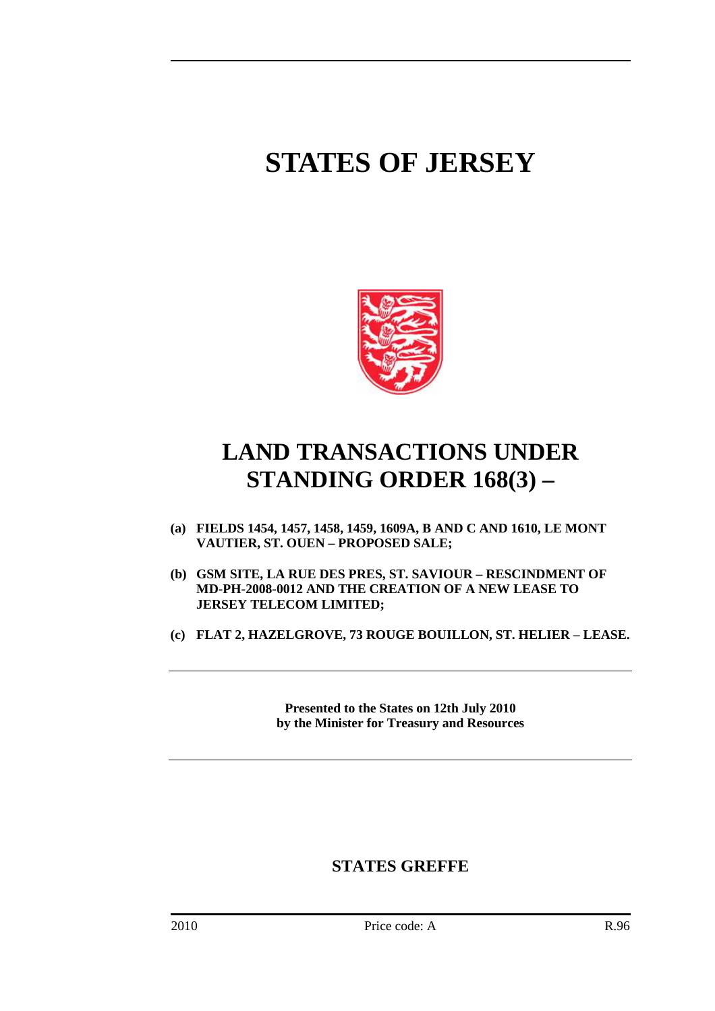# **STATES OF JERSEY**



## **LAND TRANSACTIONS UNDER STANDING ORDER 168(3) –**

- **(a) FIELDS 1454, 1457, 1458, 1459, 1609A, B AND C AND 1610, LE MONT VAUTIER, ST. OUEN – PROPOSED SALE;**
- **(b) GSM SITE, LA RUE DES PRES, ST. SAVIOUR RESCINDMENT OF MD-PH-2008-0012 AND THE CREATION OF A NEW LEASE TO JERSEY TELECOM LIMITED;**
- **(c) FLAT 2, HAZELGROVE, 73 ROUGE BOUILLON, ST. HELIER LEASE.**

**Presented to the States on 12th July 2010 by the Minister for Treasury and Resources** 

### **STATES GREFFE**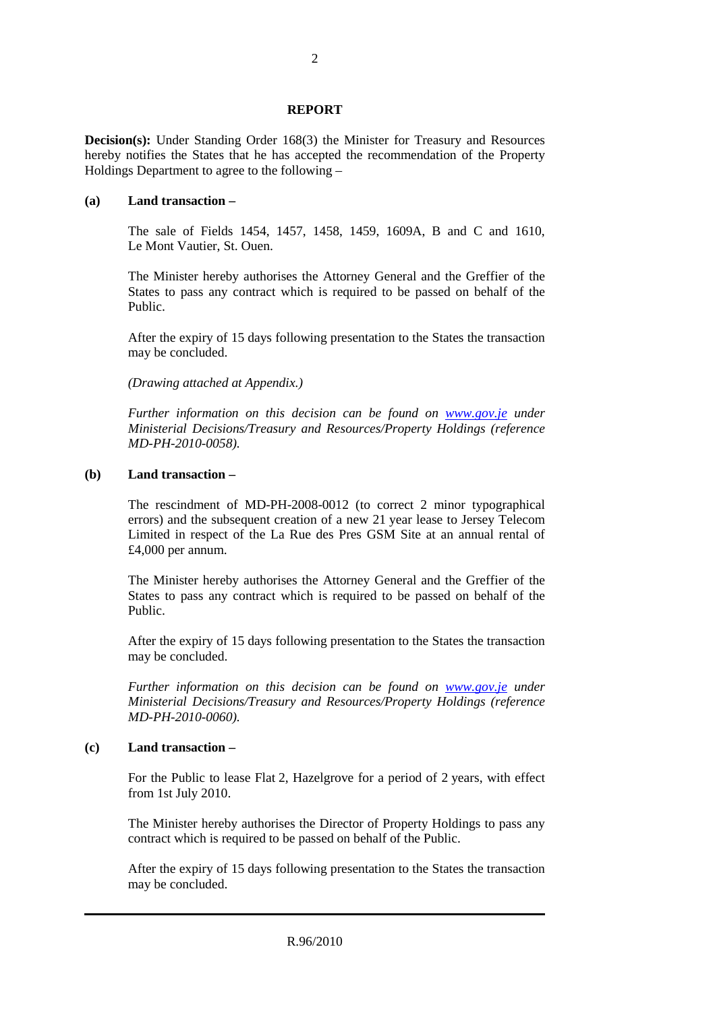#### **REPORT**

**Decision(s):** Under Standing Order 168(3) the Minister for Treasury and Resources hereby notifies the States that he has accepted the recommendation of the Property Holdings Department to agree to the following –

#### **(a) Land transaction –**

 The sale of Fields 1454, 1457, 1458, 1459, 1609A, B and C and 1610, Le Mont Vautier, St. Ouen.

 The Minister hereby authorises the Attorney General and the Greffier of the States to pass any contract which is required to be passed on behalf of the Public.

 After the expiry of 15 days following presentation to the States the transaction may be concluded.

 *(Drawing attached at Appendix.)* 

 *Further information on this decision can be found on www.gov.je under Ministerial Decisions/Treasury and Resources/Property Holdings (reference MD-PH-2010-0058).* 

#### **(b) Land transaction –**

 The rescindment of MD-PH-2008-0012 (to correct 2 minor typographical errors) and the subsequent creation of a new 21 year lease to Jersey Telecom Limited in respect of the La Rue des Pres GSM Site at an annual rental of £4,000 per annum.

 The Minister hereby authorises the Attorney General and the Greffier of the States to pass any contract which is required to be passed on behalf of the Public.

 After the expiry of 15 days following presentation to the States the transaction may be concluded.

 *Further information on this decision can be found on www.gov.je under Ministerial Decisions/Treasury and Resources/Property Holdings (reference MD-PH-2010-0060).* 

#### **(c) Land transaction –**

 For the Public to lease Flat 2, Hazelgrove for a period of 2 years, with effect from 1st July 2010.

 The Minister hereby authorises the Director of Property Holdings to pass any contract which is required to be passed on behalf of the Public.

 After the expiry of 15 days following presentation to the States the transaction may be concluded.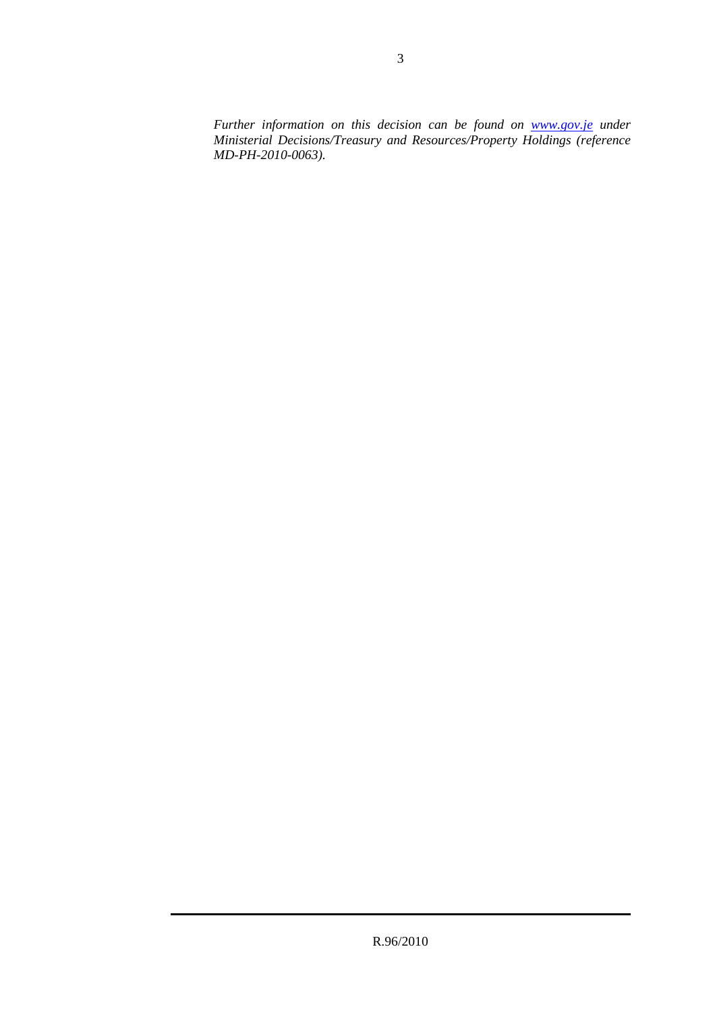*Further information on this decision can be found on www.gov.je under Ministerial Decisions/Treasury and Resources/Property Holdings (reference MD-PH-2010-0063).*